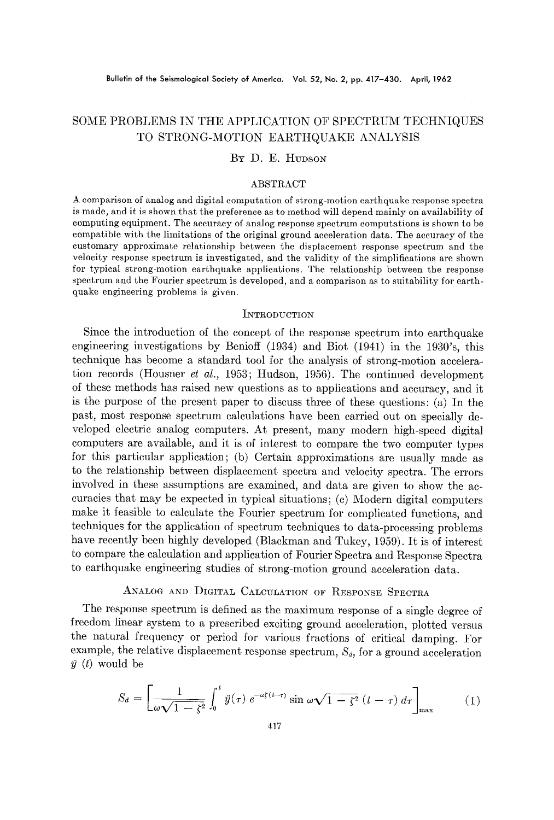# SOME PROBLEMS IN THE APPLICATION OF SPECTRUM TECHNIQUES TO STRONG-MOTION EARTHQUAKE ANALYSIS

## BY D. E. HUDSON

#### ABSTRACT

A comparison of analog and digital computation of strong-motion earthquake response spectra is made, and it is shown that the preference as to method will depend mainly on availability of computing equipment. The accuracy of analog response spectrum computations is shown to be compatible with the limitations of the original ground acceleration data. The accuracy of the customary approximate relationship between the displacement response spectrum and the velocity response spectrum is investigated, and the validity of the simplifications are shown for typical strong-motion earthquake applications. The relationship between the response spectrum and the Fourier spectrum is developed, and a comparison as to suitability for earthquake engineering problems is given.

#### INTRODUCTION

Since the introduction of the concept of the response spectrum into earthquake engineering investigations by Benioff (1934) and Biot (1941) in the 1930's, this technique has become a standard tool for the analysis of strong-motion acceleration records (Housner *et al.,* 1953; Hudson, 1956). The continued development of these methods has raised new questions as to applications and accuracy, and it is the purpose of the present paper to discuss three of these questions: (a) In the past, most response spectrum calculations have been carried out on specially developed electric analog computers. At present, many modern high-speed digital computers are available, and it is of interest to compare the two computer types for this particular application; (b) Certain approximations are usually made as to the relationship between displacement spectra and velocity spectra. The errors involved in these assumptions are examined, and data are given to show the accuracies that may be expected in typical situations; (c) Modern digital computers make it feasible to calculate the Fourier spectrum for complicated functions, and techniques for the application of spectrum techniques to data-processing problems have recently been highly developed (Blackman and Tukey, 1959). It is of interest to compare the calculation and application of Fourier Spectra and Response Spectra to earthquake engineering studies of strong-motion ground acceleration data.

# ANALOG AND DIGITAL CALCULATION OF RESPONSE SPECTRA

The response spectrum is defined as the maximum response of a single degree of freedom linear system to a prescribed exciting ground acceleration, plotted versus the natural frequency or period for various fractions of critical damping. For example, the relative displacement response spectrum,  $S_d$ , for a ground acceleration  $\ddot{y}$  (t) would be

$$
S_d = \left[\frac{1}{\omega\sqrt{1-\zeta^2}}\int_0^t \dot{y}(\tau) e^{-\omega\zeta(t-\tau)}\sin\omega\sqrt{1-\zeta^2}(t-\tau) d\tau\right]_{\text{max}}\tag{1}
$$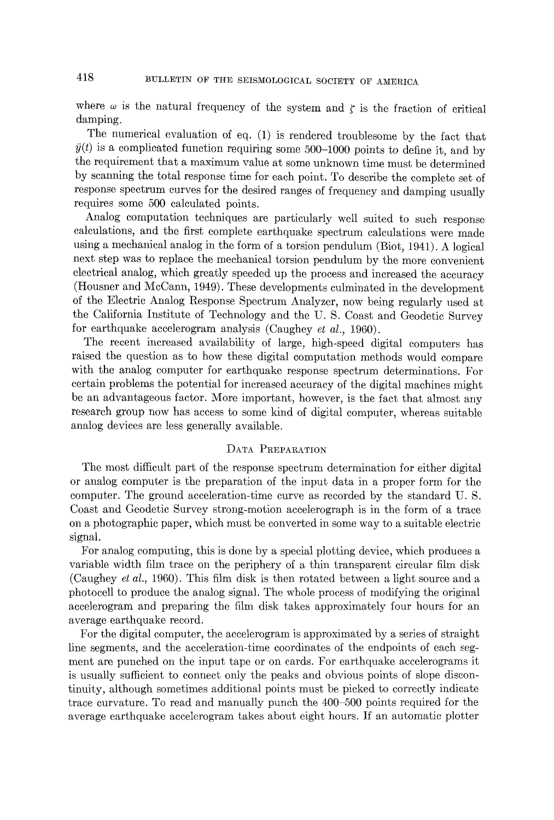where  $\omega$  is the natural frequency of the system and  $\zeta$  is the fraction of critical damping.

The numerical evaluation of eq. (1) is rendered troublesome by the fact that  $\ddot{y}(t)$  is a complicated function requiring some 500-1000 points to define it, and by the requirement that a maximum value at some unknown time must be determined by scanning the total response time for each point. To describe the complete set of response spectrum curves for the desired ranges of frequency and damping usualIy requires some 500 calculated points.

Analog computation techniques are particularly well suited to such response calculations, and the first complete earthquake spectrum calculations were made using a mechanical analog in the form of a torsion pendulum (Biot, 1941). A logical next step was to replace the mechanical torsion pendulum by the more convenient electrical analog, which greatly speeded up the process and increased the accuracy (Housner and McCann, 1949). These developments culminated in the development of the Electric Analog Response Spectrum Analyzer, now being regularly used at the California Institute of Technology and the U. S. Coast and Geodetic Survey for earthquake aecelerogram analysis (Caughey *et al.,* 1960).

The recent increased availability of large, high-speed digital computers has raised the question as to how these digital computation methods would compare with the analog computer for earthquake response spectrum determinations. For certain problems the potential for increased accuracy of the digital machines might be an advantageous factor. More important, however, is the fact that almost any research group now has access to some kind of digital computer, whereas suitable analog devices are less generally available.

## DATA PREPARATION

The most difficult part of the response spectrum determination for either digital or analog computer is the preparation of the input data in a proper form for the computer. The ground acceleration-time curve as recorded by the standard U. S. Coast and Geodetic Survey strong-motion accelerograph is in the form of a trace on a photographic paper, which must be converted in some way to a suitable electric signal.

For analog computing, this is done by a special plotting device, which produces a variable width film trace on the periphery of a thin transparent circular film disk (Caughey *et al.,* 1960). This film disk is then rotated between a light source and a photocell to produce the analog signal. The whole process of modifying the original accelerogram and preparing the film disk takes approximately four hours for an average earthquake record.

For the digital computer, the accelerogram is approximated by a series of straight line segments, and the acceleration-time coordinates of the endpoints of each segment are punched on the input tape or on cards. For earthquake accelerograms it is usually sufficient to connect only the peaks and obvious points of slope discontinuity, although sometimes additional points must be picked to correctly indicate trace curvature. To read and manually punch the 400-500 points required for the average earthquake accelerogram takes about eight hours. If an automatic plotter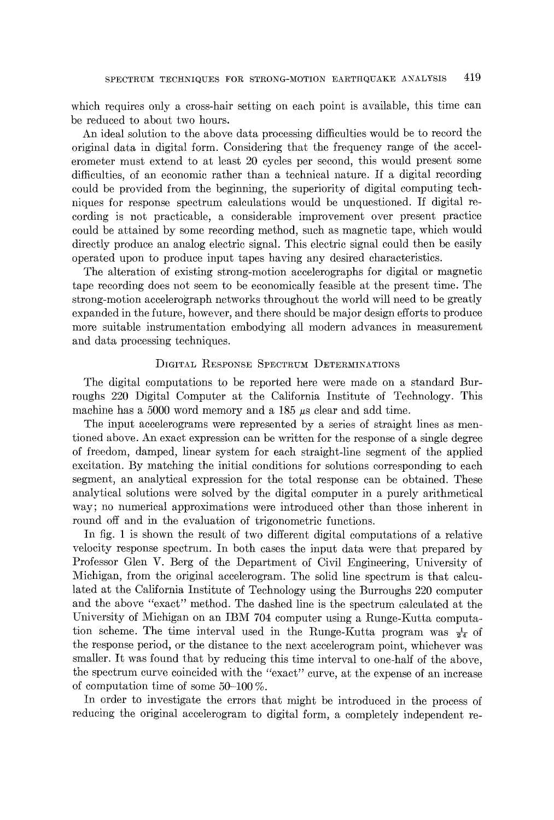which requires only a cross-hair setting on each point is available, this time can be reduced to about two hours.

An ideal solution to the above data processing difficulties would be to record the original data in digital form. Considering that the frequency range of the accelerometer must extend to at least 20 cycles per second, this would present some difficulties, of an economic rather than a technical nature. If a digital recording could be provided from the beginning, the superiority of digital computing techniques for response spectrum calculations would be unquestioned. If digital recording is not practicable, a considerable improvement over present practice could be attained by some recording method, such as magnetic tape, which would directly produce an analog electric signal. This electric signal could then be easily operated upon to produce input tapes having any desired characteristics.

The alteration of existing strong-motion aeeelerographs for digital or magnetic tape recording does not seem to be economically feasible at the present time. The strong-motion accelerograph networks throughout the world will need to be greatly expanded in the future, however, and there should be major design efforts to produce more suitable instrumentation embodying all modern advances in measurement and data processing techniques.

### DIGITAL RESPONSE SPECTRUM DETERMINATIONS

The digital computations to be reported here were made on a standard Burroughs 220 Digital Computer at the California Institute of Technology. This machine has a 5000 word memory and a 185  $\mu$ s clear and add time.

The input accelerograms were represented by a series of straight lines as mentioned above. An exact expression can be written for the response of a single degree of freedom, damped, linear system for each straight-line segment of the applied excitation. By matching the initial conditions for solutions corresponding to each segment, an analytical expression for the total response can be obtained. These analytical solutions were solved by the digital computer in a purely arithmetical way; no numerical approximations were introduced other than those inherent in round off and in the evaluation of trigonometric functions.

In fig. 1 is shown the result of two different digital computations of a relative velocity response spectrum. In both cases the input data were that prepared by Professor Glen V. Berg of the Department of Civil Engineering, University of Michigan, from the original aecelerogram. The solid line spectrum is that calculated at the California Institute of Technology using the Burroughs 220 computer and the above *"exact"* method. The dashed line is the spectrum calculated at the University of Michigan on an IBM 704 computer using a Runge-Kutta computation scheme. The time interval used in the Runge-Kutta program was  $\frac{1}{24}$  of the response period, or the distance to the next accelerogram point, whichever was smaller. It was found that by reducing this time interval to one-half of the above, the spectrum curve coincided with the "exact" curve, at the expense of an increase of computation time of some  $50\negmedspace-\negspace100\,\%$ .

In order to investigate the errors that might be introduced in the process of reducing the original accelerogram to digital form, a completely independent re-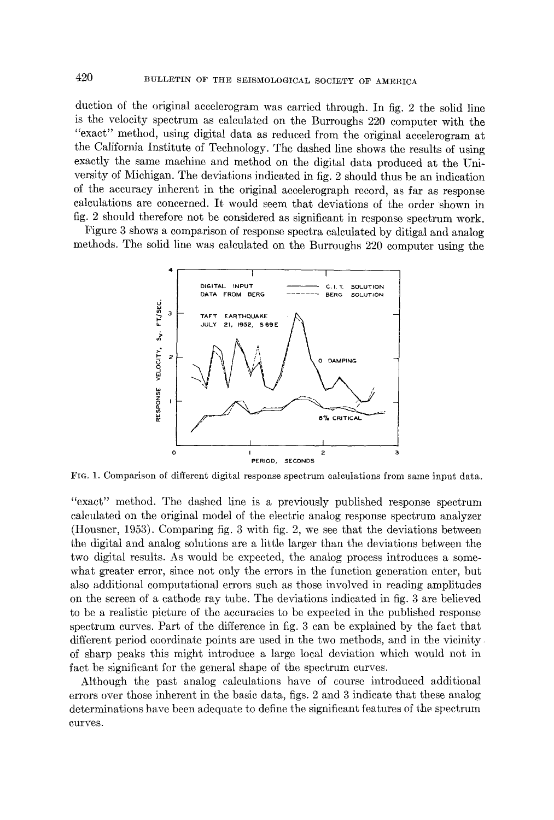duction of the original aecelerogram was carried through. In fig. 2 the solid line is the velocity spectrum as calculated on the Burroughs 220 computer with the "exact" method, using digital data as reduced from the original aecelerogram at the California Institute of Technology. The dashed line shows the results of using exactly the same machine and method on the digital data produced at the University of Michigan. The deviations indicated in fig. 2 should thus be an indication of the accuracy inherent in the original aecelerograph record, as far as response calculations are concerned. It would seem that deviations of the order shown in fig. 2 should therefore not be considered as significant in response spectrum work.

Figure 3 shows a comparison of response spectra calculated by ditigal and analog methods. The solid line was calculated on the Burroughs 220 computer using the



FIG. I. Comparison of different digital response spectrum calculations from same input data.

"exact" method. The dashed line is a previously published response spectrum calculated on the original model of the electric analog response spectrum analyzer (Housner, 1953). Comparing fig. 3 with fig. 2, we see that the deviations between the digital and analog solutions are a little larger than the deviations between the two digital results. As would be expected, the analog process introduces a somewhat greater error, since not only the errors in the function generation enter, but also additional computational errors such as those involved in reading amplitudes on the screen of a cathode ray tube. The deviations indicated in fig. 3 are believed to be a realistic picture of the accuracies to be expected in the published response spectrum curves. Part of the difference in fig. 3 can be explained by the fact that different period coordinate points are used in the two methods, and in the vicinity. of sharp peaks this might introduce a large local deviation which would not in fact be significant for the general shape of the spectrum curves.

Although the past analog calculations have of course introduced additional errors over those inherent in the basic data, figs. 2 and 3 indicate that these analog determinations have been adequate to define the significant features of the spectrum curves.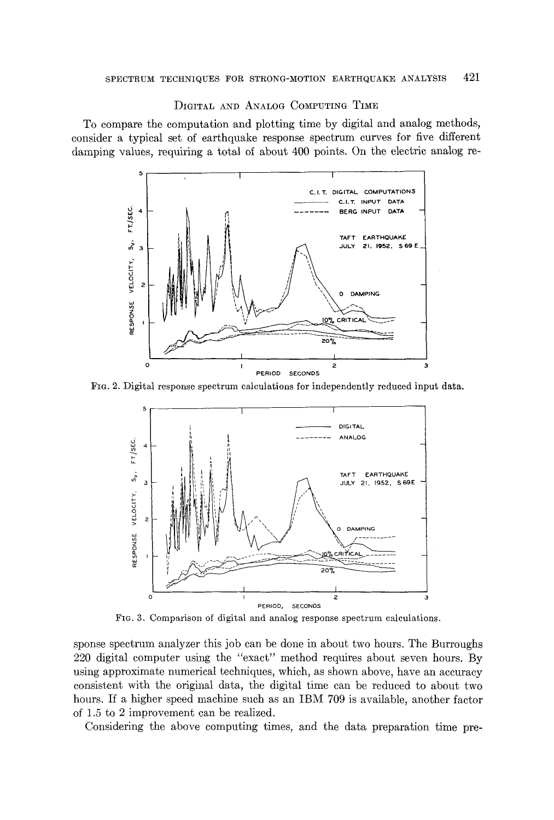**DIGITAL AND ANALOG COMPUTING TIME** 

**To compare the computation and plotting time by digital and analog methods, consider a typical set of earthquake response spectrum curves for five different damping values, requiring a total of about 400 points. On the electric analog re-**



FIG. 2. Digital response spectrum calculations for independently reduced input data.



FIG. 3. Comparison of digital and analog response spectrum calculations.

**sponse spectrum analyzer this job can be done in about two hours. The Burroughs 220 digital computer using the "exact" method requires about seven hours. By using approximate numerical techniques, which, as shown above, have an accuracy consistent with the original data, the digital time can be reduced to about two hours. If a higher speed machine such as an IBM 709 is available, another factor of 1.5 to 2 improvement can be realized.** 

**Considering the above computing times, and the data preparation time pre-**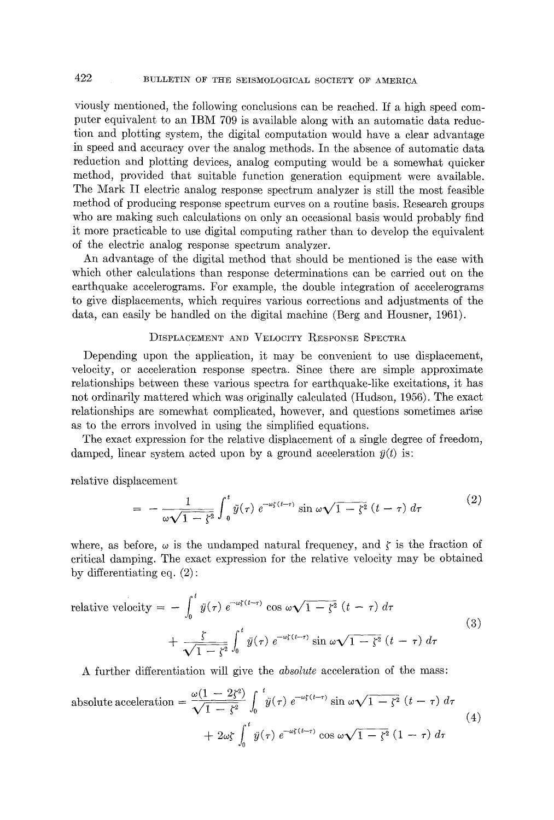viously mentioned, the following conclusions can be reached. If a high speed computer equivalent to an IBM 709 is available along with an automatic data reduction and plotting system, the digital computation would have a clear advantage in speed and accuracy over the analog methods. In the absence of automatic data reduction and plotting devices, analog computing would be a somewhat quicker method, provided that suitable function generation equipment were available. The Mark II electric analog response spectrum analyzer is still the most feasible method of producing response spectrum curves on a routine basis. Research groups who are making such calculations on only an occasional basis would probably find it more practicable to use digital computing rather than to develop the equivalent of the electric analog response spectrum analyzer.

An advantage of the digital method that should be mentioned is the ease with which other calculations than response determinations can be carried out on the earthquake accelerograms. For example, the double integration of aceelerograms to give displacements, which requires various corrections and adjustments of the data, can easily be handled on the digital machine (Berg and Housner, 1961).

## DISPLACEMENT AND VELOCITY RESPONSE SPECTRA

Depending upon the application, it may be convenient to use displacement, velocity, or acceleration response spectra. Since there are simple approximate relationships between these various spectra for earthquake-like excitations, it has not ordinarily mattered which was originally calculated (Hudson, 1956). The exact relationships are somewhat complicated, however, and questions sometimes arise as to the errors involved in using the simplified equations.

The exact expression for the relative displacement of a single degree of freedom, damped, linear system acted upon by a ground acceleration  $\ddot{y}(t)$  is:

relative displacement

$$
= -\frac{1}{\omega\sqrt{1-\zeta^2}}\int_0^t \ddot{y}(\tau) e^{-\omega\zeta(t-\tau)}\sin\omega\sqrt{1-\zeta^2}\,(t-\tau)\,d\tau \tag{2}
$$

where, as before,  $\omega$  is the undamped natural frequency, and  $\zeta$  is the fraction of critical damping. The exact expression for the relative velocity may be obtained by differentiating eq. (2):

relative velocity 
$$
= -\int_0^t \dot{y}(\tau) e^{-\omega \xi(t-\tau)} \cos \omega \sqrt{1-\xi^2} (t-\tau) d\tau
$$
  
  $+ \frac{\xi}{\sqrt{1-\xi^2}} \int_0^t \dot{y}(\tau) e^{-\omega \xi(t-\tau)} \sin \omega \sqrt{1-\xi^2} (t-\tau) d\tau$  (3)

A further differentiation will give the *absolute* acceleration of the mass:

absolute acceleration 
$$
= \frac{\omega(1 - 2\zeta^2)}{\sqrt{1 - \zeta^2}} \int_0^t \dot{y}(\tau) e^{-\omega\zeta(t-\tau)} \sin \omega \sqrt{1 - \zeta^2} (t - \tau) d\tau
$$

$$
+ 2\omega\zeta \int_0^t \dot{y}(\tau) e^{-\omega\zeta(t-\tau)} \cos \omega \sqrt{1 - \zeta^2} (1 - \tau) d\tau
$$
(4)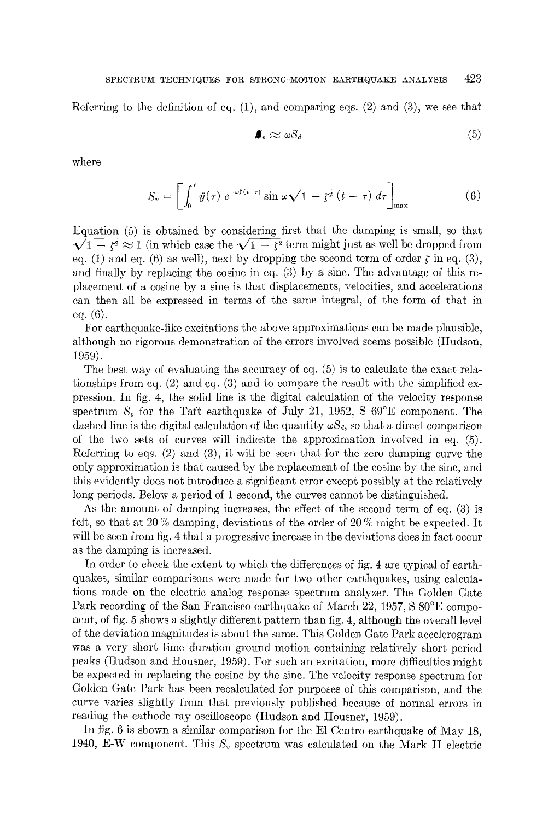Referring to the definition of eq. (1), and comparing eqs. (2) and (3), we see that

$$
\clubsuit_v \approx \omega S_d \tag{5}
$$

where

$$
S_v = \left[ \int_0^t \dot{y}(\tau) \ e^{-\omega \zeta (t-\tau)} \sin \omega \sqrt{1-\zeta^2} \ (t-\tau) \ d\tau \right]_{\text{max}} \tag{6}
$$

Equation (5) is obtained by considering first that the damping is small, so that  $\sqrt{1-\zeta^2} \approx 1$  (in which case the  $\sqrt{1-\zeta^2}$  term might just as well be dropped from eq. (1) and eq. (6) as well), next by dropping the second term of order  $\zeta$  in eq. (3), and finally by replacing the cosine in eq. (3) by a sine. The advantage of this replacement of a cosine by a sine is that displacements, velocities, and accelerations can then all be expressed in terms of the same integral, of the form of that in eq. (6).

For earthquake-like excitations the above approximations can be made plausible, although no rigorous demonstration of the errors involved seems possible (Hudson, 1959).

The best way of evaluating the accuracy of eq. (5) is to calculate the exact relationships from eq. (2) and eq. (3) and to compare the result with the simplified expression. In fig. 4, the solid line is the digital calculation of the velocity response spectrum  $S_{\nu}$  for the Taft earthquake of July 21, 1952, S 69<sup>o</sup>E component. The dashed line is the digital calculation of the quantity  $\omega S_d$ , so that a direct comparison of the two sets of curves will indicate the approximation involved in eq. (5). Referring to eqs. (2) and (3), it will be seen that for the zero damping curve the only approximation is that caused by the replacement of the cosine by the sine, and this evidently does not introduce a significant error except possibly at the relatively long periods. Below a period of 1 second, the curves cannot be distinguished.

As the amount of damping increases, the effect of the second term of eq. (3) is felt, so that at 20 % damping, deviations of the order of 20 % might be expected. It will be seen from fig. 4 that a progressive increase in the deviations does in fact occur as the damping is increased.

In order to check the extent to which the differences of fig. 4 are typical of earthquakes, similar comparisons were made for two other earthquakes, using calculations made on the electric analog response spectrum analyzer. The Golden Gate Park recording of the San Francisco earthquake of March 22, 1957, S 80°E component, of fig. 5 shows a slightly different pattern than fig. 4, although the overall level of the deviation magnitudes is about the same. This Golden Gate Park accelerogram was a very short time duration ground motion containing relatively short period peaks (Hudson and Housner, 1959). For such an excitation, more difficulties might be expected in replacing the cosine by the sine. The velocity response spectrum for Golden Gate Park has been recalculated for purposes of this comparison, and the curve varies slightly from that previously published because of normal errors in reading the cathode ray oscilloscope (Hudson and Housner, 1959).

In fig. 6 is shown a similar comparison for the E1 Centro earthquake of May 18, 1940, E-W component. This  $S_v$  spectrum was calculated on the Mark II electric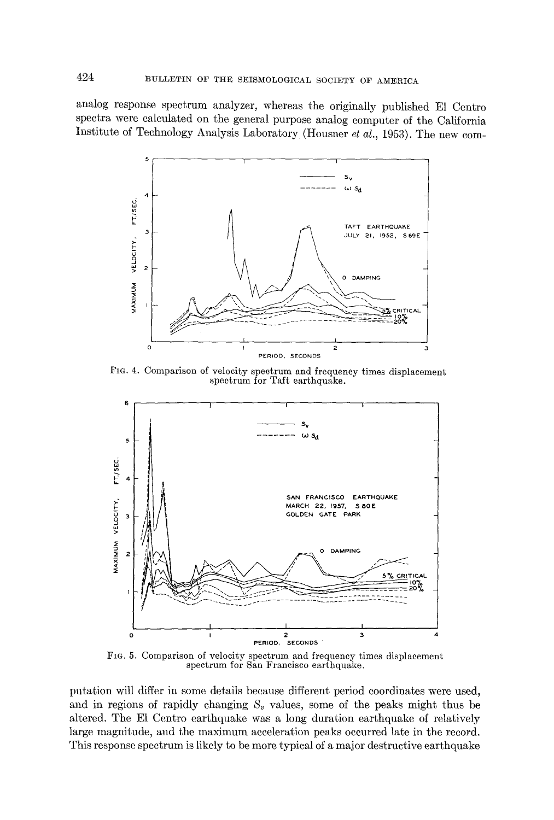**analog response spectrum analyzer, whereas the originally published E1 Centro spectra were calculated on the general purpose analog computer of the California**  Institute of Technology Analysis Laboratory (Housner *et al.,* 1953). The new com-



FIG. 4. **Comparison of velocity spectrum and frequency times displacement spectrum for Taft earthquake.** 



FIG. 5. Comparison of velocity spectrum and frequency times displacement **spectrum for San Francisco earthquake.** 

**putation will differ in some details because different period coordinates were used,**  and in regions of rapidly changing  $S_v$  values, some of the peaks might thus be **altered. The E1 Centro earthquake was a long duration earthquake of relatively large magnitude, and the maximum acceleration peaks occurred late in the record. This response spectrum is likely to be more typical of a major destructive earthquake**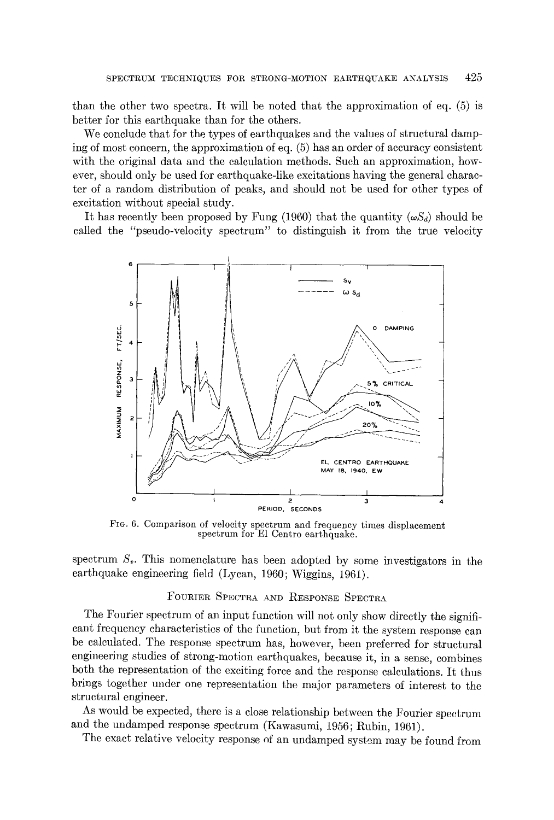than the other two spectra. It will be noted that the approximation of eq. (5) is better for this earthquake than for the others.

We conclude that for the types of earthquakes and the values of structural damping of most concern, the approximation of eq. (5) has an order of accuracy consistent with the original data and the calculation methods. Such an approximation, however, should only be used for earthquake-like excitations having the general character of a random distribution of peaks, and should not be used for other types of excitation without special study.

It has recently been proposed by Fung (1960) that the quantity  $(\omega S_d)$  should be called the "pseudo-velocity spectrum" to distinguish it from the true velocity



FIG. 6. Comparison of velocity spectrum and frequency times displacement spectrum for El Centro earthquake.

spectrum  $S<sub>v</sub>$ . This nomenclature has been adopted by some investigators in the earthquake engineering field (Lycan, 1960; Wiggins, 1961).

# FOURIER SPECTRA AND RESPONSE SPECTRA

The Fourier spectrum of an input function will not only show directly the significant frequency characteristics of the function, but from it the system response can be calculated. The response spectrum has, however, been preferred for structural engineering studies of strong-motion earthquakes, because it, in a sense, combines both the representation of the exciting force and the response calculations. It thus brings together under one representation the major parameters of interest to the structural engineer.

As would be expected, there is a close relationship between the Fourier spectrum and the undamped response spectrum (Kawasumi, 1956; Rubin, 1961).

The exact relative velocity response of an undamped system may be found from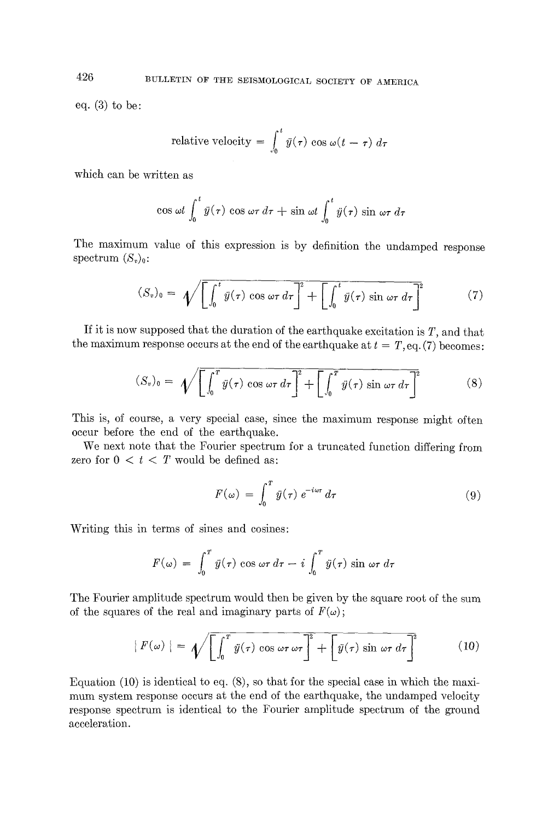eq. (3) to be:

relative velocity = 
$$
\int_0^t \dot{y}(\tau) \cos \omega (t - \tau) d\tau
$$

which can be written as

$$
\cos \omega t \int_0^t \dot{y}(\tau) \cos \omega \tau d\tau + \sin \omega t \int_0^t \dot{y}(\tau) \sin \omega \tau d\tau
$$

The maximum value of this expression is by definition the undamped response spectrum  $(S_v)_0$ :

$$
(S_v)_0 = \sqrt{\left[\int_0^t \dot{y}(\tau) \cos \omega \tau \, d\tau\right]^2 + \left[\int_0^t \dot{y}(\tau) \sin \omega \tau \, d\tau\right]^2} \tag{7}
$$

If it is now supposed that the duration of the earthquake excitation is  $T$ , and that the maximum response occurs at the end of the earthquake at  $t = T$ , eq. (7) becomes:

$$
(S_v)_0 = \sqrt{\left[\int_0^T \dot{y}(\tau) \cos \omega \tau \, d\tau\right]^2 + \left[\int_0^T \dot{y}(\tau) \sin \omega \tau \, d\tau\right]^2} \tag{8}
$$

This is, of course, a very special case, since the maximum response might often occur before the end of the earthquake.

We next note that the Fourier spectrum for a truncated function differing from zero for  $0 < t < T$  would be defined as:

$$
F(\omega) = \int_0^T \ddot{y}(\tau) e^{-i\omega \tau} d\tau \tag{9}
$$

Writing this in terms of sines and cosines:

$$
F(\omega) = \int_0^T \ddot{y}(\tau) \cos \omega \tau \, d\tau - i \int_0^T \ddot{y}(\tau) \sin \omega \tau \, d\tau
$$

The Fourier amplitude spectrum would then be given by the square root of the sum of the squares of the real and imaginary parts of  $F(\omega)$ ;

$$
|F(\omega)| = \sqrt{\left[\int_0^T \ddot{y}(\tau) \cos \omega \tau \, \omega \tau\right]^2 + \left[\dot{y}(\tau) \sin \omega \tau \, d\tau\right]^2} \qquad (10)
$$

Equation  $(10)$  is identical to eq.  $(8)$ , so that for the special case in which the maximum system response occurs at the end of the earthquake, the undamped velocity response spectrum is identical to the Fourier amplitude spectrum of the ground acceleration.

426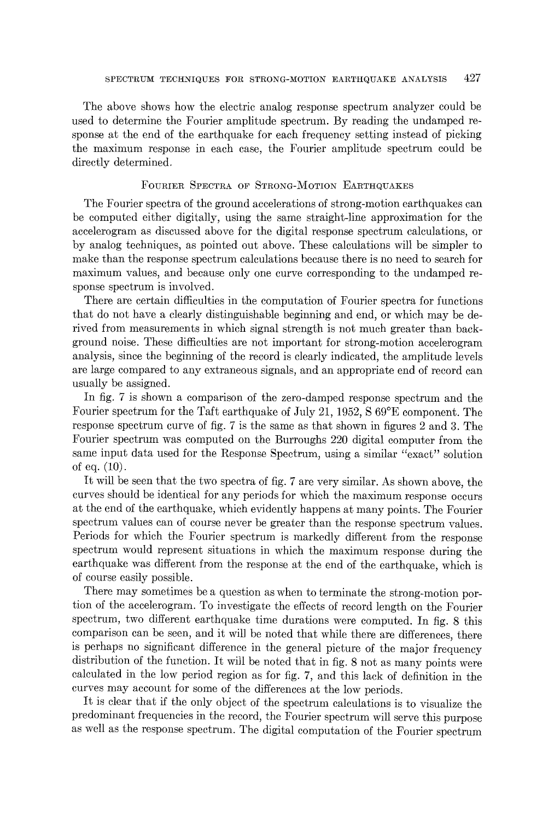The above shows how the electric analog response spectrum analyzer could be used to determine the Fourier amplitude spectrum. By reading the undamped response at the end of the earthquake for each frequency setting instead of picking the maximum response in each case, the Fourier amplitude spectrum could be directly determined.

### FOURIER SPECTRA OF STRONG-MOTION EARTHQUAKES

The Fourier spectra of the ground accelerations of strong-motion earthquakes can be computed either digitally, using the same straight-line approximation for the accelerogram as discussed above for the digital response spectrum calculations, or by analog techniques, as pointed out above. These calculations will be simpler to make than the response spectrum calculations because there is no need to search for maximum values, and because only one curve corresponding to the undamped response spectrum is involved.

There are certain difficulties in the computation of Fourier spectra for functions that do not have a clearly distinguishable beginning and end, or which may be derived from measurements in which signal strength is not much greater than background noise. These difficulties are not important for strong-motion accelerogram analysis, since the beginning of the record is clearly indicated, the amplitude levels are large compared to any extraneous signals, and an appropriate end of record can usually be assigned.

In fig. 7 is shown a comparison of the zero-damped response spectrum and the Fourier spectrum for the Taft earthquake of July 21, 1952, S 69°E component. The response spectrum curve of fig. 7 is the same as that shown in figures 2 and 3. The Fourier spectrum was computed on the Burroughs *220* digital computer from the same input data used for the Response Spectrum, using a similar *"exact"* solution of eq. (10).

It will be seen that the two spectra of fig. 7 are very similar. As shown above, the curves should be identical for any periods for which the maximum response occurs at the end of the earthquake, which evidently happens at many points. The Fourier spectrum values can of course never be greater than the response spectrum values. Periods for which the Fourier spectrum is markedly different from the response spectrum would represent situations in which the maximum response during the earthquake was different from the response at the end of the earthquake, which is of course easily possible.

There may sometimes be a question as when to terminate the strong-motion portion of the accelerogram. To investigate the effects of record length on the Fourier spectrum, two different earthquake time durations were computed. In fig. 8 this comparison can be seen, and it will be noted that while there are differences, there is perhaps no significant difference in the general picture of the major frequency distribution of the function. It will be noted that in fig. 8 not as many points were calculated in the low period region as for fig. 7, and this lack of definition in the curves may account for some of the differences at the low periods.

It is clear that if the only object of the spectrum calculations is to visualize the predominant frequencies in the record, the Fourier spectrum will serve this purpose as well as the response spectrum. The digital computation of the Fourier spectrum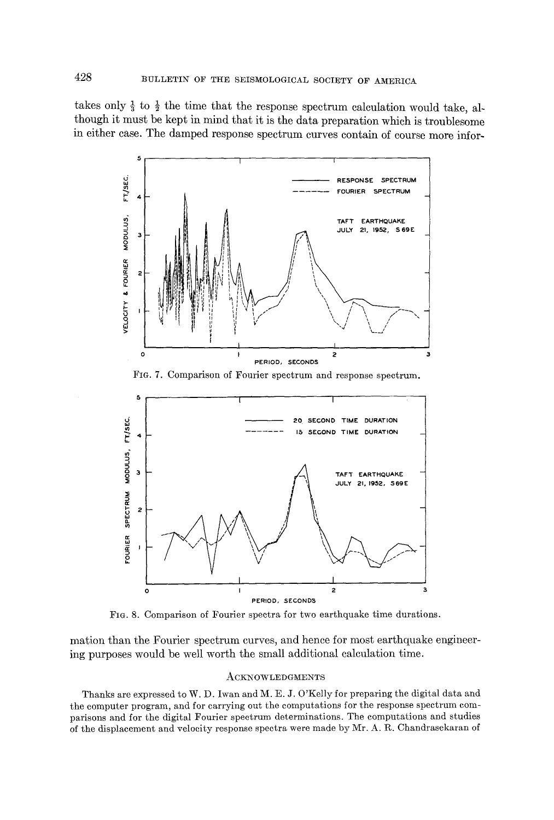takes only  $\frac{1}{3}$  to  $\frac{1}{2}$  the time that the response spectrum calculation would take, although it must be kept in mind that it is the data preparation which is troublesome in either case. The damped response spectrum curves contain of course more infor-



FIG. 8. Comparison of Fourier spectra for two earthquake time durations.

mation than the Fourier spectrum curves, and hence for most earthquake engineering purposes would be well worth the small additional calculation time.

#### **ACKNOWLEDGMENTS**

Thanks are expressed to W. D. Iwan and M. E. J. O'Kelly for preparing the digital data and the computer program, and for carrying out the computations for the response spectrum comparisons and for the digital Fourier spectrum determinations. The computations and studies of the displacement and velocity response spectra were made by Mr. A. R. Chandrasekaran of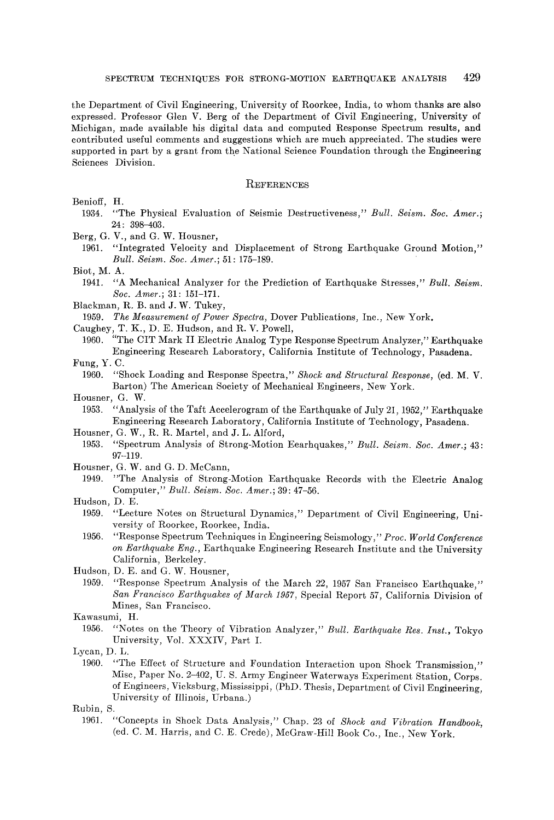the Department of Civil Engineering, University of Roorkee, India, to whom thanks are also expressed. Professor Glen V. Berg of the Department of Civil Engineering, University of Michigan, made available his digital data and computed Response Spectrum results, and contributed useful comments and suggestions which are much appreciated. The studies were supported in part by a grant from the National Science Foundation through the Engineering Sciences Division.

#### **REFERENCES**

Benioff, H.

- 1934. "The Physical Evaluation of Seismic Destructiveness," *Bull. Seism. Soc. Amer.;*  24 : 398-403.
- Berg, G. V., and G. W. Housner,
- 1961. "Integrated Velocity and Displacement of Strong Earthquake Ground Motion," *Bull. Seism. Soc. Amer.;* 51: 175-189.
- Biot, M. A.
	- 1941. *"A* Mechanical Analyzer for the Prediction of Earthquake Stresses," *Bull. Seism. Soc. Amer.;* 31: 151-171.
- Blackman, R. B. and J. W. Tukey,
- 1959. *The Measurement of Power Spectra,* Dover Publications, Inc., New York.
- Caughey, T. K., D. E. Hudson, and R. V. Powell,
- 1960. *"The* CIT Mark II Electric Analog Type Response Spectrum Analyzer," Earthquake Engineering Research Laboratory, California Institute of Technology, Pasadena.
- Fung, Y. C.
	- 1960. "Shock Loading and Response Spectra," *Shock and Structural Response,* (ed. M. V. Barton) The American Society of Mechanical Engineers, New York.
- Housner, G. W.
- 1953. "Analysis of the Taft Accelerogram of the Earthquake of July 21, 1952," Earthquake Engineering Research Laboratory, California Institute of Technology, Pasadena.
- Housner, G. W., R. R. Marte], and J. L. Alford,
- 1953. "Spectrum Analysis of Strong-Motion Eearhquakes," *Bull. Seism. Soc. Amer.;* 43: 97-119.
- Housner, G. W. and G. D. McCann,
	- 1949. "The Analysis of Strong-Motion Earthquake Records with the Electric Analog Computer," *Bull. Seism. Soc. Amer.;* 39: 47-56.
- Hudson, D. E.
	- 1959. "Lecture Notes on Structural Dynamics," Department of Civil Engineering, University of Roorkee, Roorkee, India.
	- 1956. "Response Spectrum Techniques in Engineering Seismology," *Proc. World Conference on Earthquake Eng.,* Earthquake Engineering Research Institute and the University California, Berkeley.

Hudson, D. E. and G. W. Housner,

1959. "Response Spectrum Analysis of the March 22, 1957 San Francisco Earthquake," *San Francisco Earthquakes of March 1957,* Special Report 57, California Division of Mines, San Francisco.

- 1956. "Notes on the Theory of Vibration Analyzer," *Bull. Earthquake Res. Inst.,* Tokyo University, Vo]. *XXXIV,* Part I.
- Lycan, D. L.
	- 1960. "The Effect of Structure and Foundation Interaction upon Shock Transmission," Mise, Paper No. 2-402, U. S. Army Engineer Waterways Experiment Station, Corps. of Engineers, Vicksburg, Mississippi, (PhD. Thesis, Department of Civil Engineering, University of Illinois, Urbana.)
- Rubin, S.
	- 1961. "Concepts in Shock Data Analysis," Chap. 23 of *Shock and Vibration Handbook,*  (ed. C. M. Harris, and C. E. Crede), McGraw-Hill Book Co., Inc., New York.

Kawasumi, H.